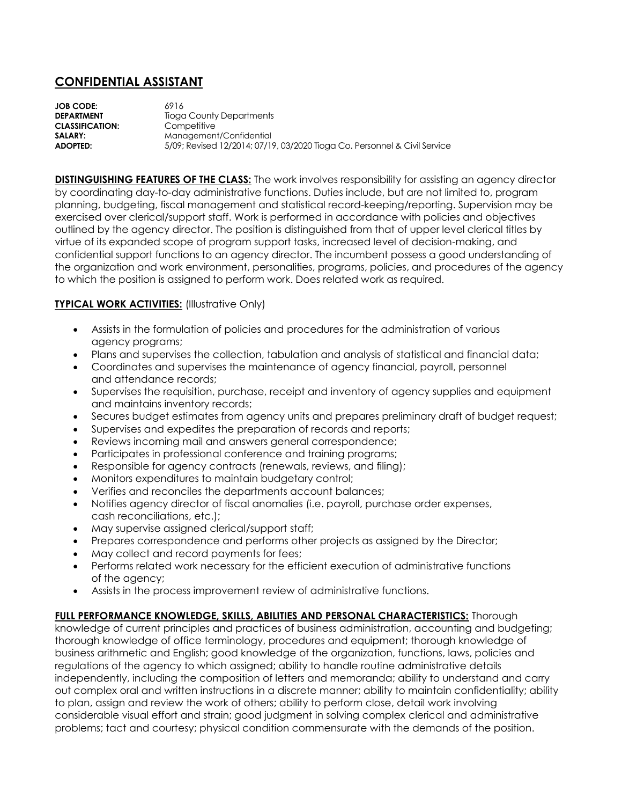## **CONFIDENTIAL ASSISTANT**

**JOB CODE:** 6916<br> **DEPARTMENT** Tiogo **Tioga County Departments CLASSIFICATION:** Competitive **SALARY:** Management/Confidential<br>**ADOPTED:** 5/09: Revised 12/2014: 07/19 **ADOPTED:** 5/09; Revised 12/2014; 07/19, 03/2020 Tioga Co. Personnel & Civil Service

**DISTINGUISHING FEATURES OF THE CLASS:** The work involves responsibility for assisting an agency director by coordinating day-to-day administrative functions. Duties include, but are not limited to, program planning, budgeting, fiscal management and statistical record-keeping/reporting. Supervision may be exercised over clerical/support staff. Work is performed in accordance with policies and objectives outlined by the agency director. The position is distinguished from that of upper level clerical titles by virtue of its expanded scope of program support tasks, increased level of decision-making, and confidential support functions to an agency director. The incumbent possess a good understanding of the organization and work environment, personalities, programs, policies, and procedures of the agency to which the position is assigned to perform work. Does related work as required.

## **TYPICAL WORK ACTIVITIES:** (Illustrative Only)

- Assists in the formulation of policies and procedures for the administration of various agency programs;
- Plans and supervises the collection, tabulation and analysis of statistical and financial data;
- Coordinates and supervises the maintenance of agency financial, payroll, personnel and attendance records;
- Supervises the requisition, purchase, receipt and inventory of agency supplies and equipment and maintains inventory records;
- Secures budget estimates from agency units and prepares preliminary draft of budget request;
- Supervises and expedites the preparation of records and reports;
- Reviews incoming mail and answers general correspondence;
- Participates in professional conference and training programs;
- Responsible for agency contracts (renewals, reviews, and filing);
- Monitors expenditures to maintain budgetary control;
- Verifies and reconciles the departments account balances;
- Notifies agency director of fiscal anomalies (i.e. payroll, purchase order expenses, cash reconciliations, etc.);
- May supervise assigned clerical/support staff;
- Prepares correspondence and performs other projects as assigned by the Director;
- May collect and record payments for fees;
- Performs related work necessary for the efficient execution of administrative functions of the agency;
- Assists in the process improvement review of administrative functions.

## **FULL PERFORMANCE KNOWLEDGE, SKILLS, ABILITIES AND PERSONAL CHARACTERISTICS:** Thorough

knowledge of current principles and practices of business administration, accounting and budgeting; thorough knowledge of office terminology, procedures and equipment; thorough knowledge of business arithmetic and English; good knowledge of the organization, functions, laws, policies and regulations of the agency to which assigned; ability to handle routine administrative details independently, including the composition of letters and memoranda; ability to understand and carry out complex oral and written instructions in a discrete manner; ability to maintain confidentiality; ability to plan, assign and review the work of others; ability to perform close, detail work involving considerable visual effort and strain; good judgment in solving complex clerical and administrative problems; tact and courtesy; physical condition commensurate with the demands of the position.